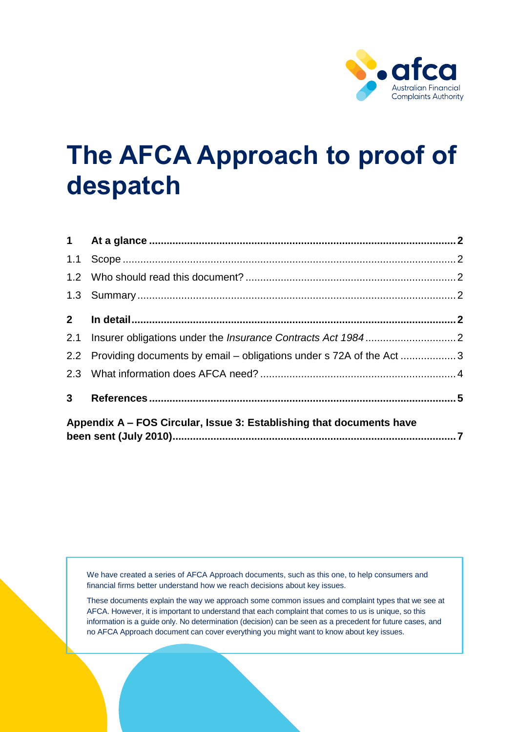

# **The AFCA Approach to proof of despatch**

|                                                                      | 2.2 Providing documents by email – obligations under s 72A of the Act 3 |  |
|----------------------------------------------------------------------|-------------------------------------------------------------------------|--|
|                                                                      |                                                                         |  |
|                                                                      |                                                                         |  |
| Appendix A – FOS Circular, Issue 3: Establishing that documents have |                                                                         |  |

We have created a series of AFCA Approach documents, such as this one, to help consumers and financial firms better understand how we reach decisions about key issues.

These documents explain the way we approach some common issues and complaint types that we see at AFCA. However, it is important to understand that each complaint that comes to us is unique, so this information is a guide only. No determination (decision) can be seen as a precedent for future cases, and no AFCA Approach document can cover everything you might want to know about key issues.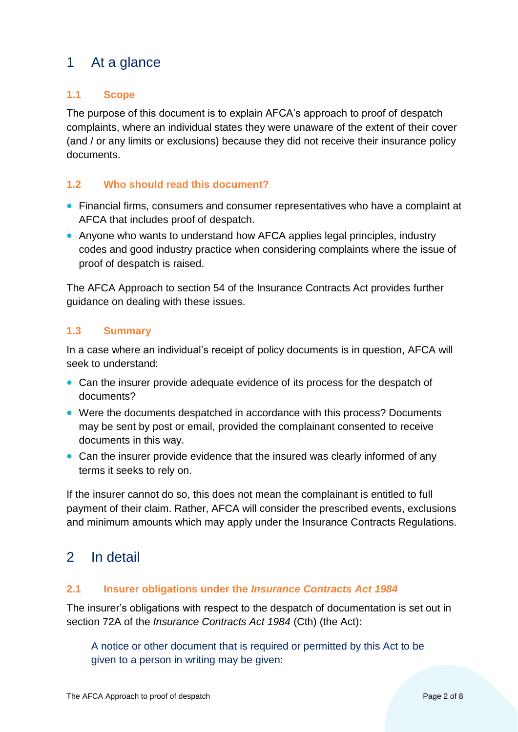# <span id="page-1-0"></span>1 At a glance

## <span id="page-1-1"></span>**1.1 Scope**

The purpose of this document is to explain AFCA's approach to proof of despatch complaints, where an individual states they were unaware of the extent of their cover (and / or any limits or exclusions) because they did not receive their insurance policy documents.

### <span id="page-1-2"></span>**1.2 Who should read this document?**

- Financial firms, consumers and consumer representatives who have a complaint at AFCA that includes proof of despatch.
- Anyone who wants to understand how AFCA applies legal principles, industry codes and good industry practice when considering complaints where the issue of proof of despatch is raised.

The AFCA Approach to section 54 of the Insurance Contracts Act provides further guidance on dealing with these issues.

### <span id="page-1-3"></span>**1.3 Summary**

In a case where an individual's receipt of policy documents is in question, AFCA will seek to understand:

- Can the insurer provide adequate evidence of its process for the despatch of documents?
- Were the documents despatched in accordance with this process? Documents may be sent by post or email, provided the complainant consented to receive documents in this way.
- Can the insurer provide evidence that the insured was clearly informed of any terms it seeks to rely on.

If the insurer cannot do so, this does not mean the complainant is entitled to full payment of their claim. Rather, AFCA will consider the prescribed events, exclusions and minimum amounts which may apply under the Insurance Contracts Regulations.

# <span id="page-1-4"></span>2 In detail

### <span id="page-1-5"></span>**2.1 Insurer obligations under the** *Insurance Contracts Act 1984*

The insurer's obligations with respect to the despatch of documentation is set out in section 72A of the *Insurance Contracts Act 1984* (Cth) (the Act):

A notice or other document that is required or permitted by this Act to be given to a person in writing may be given: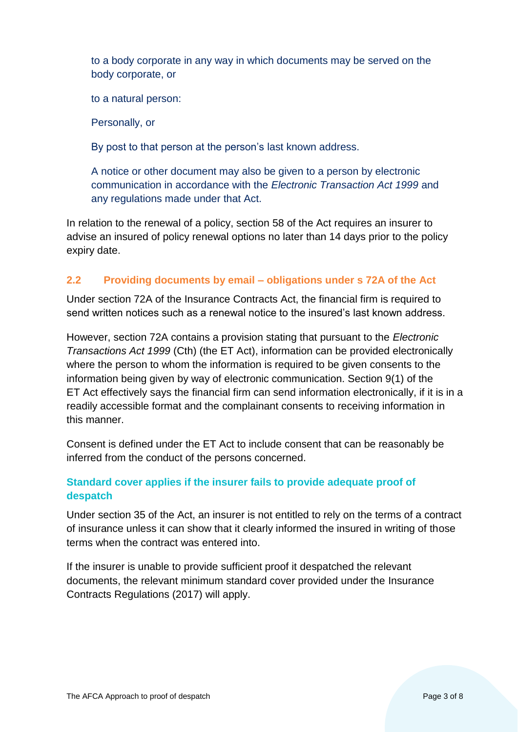to a body corporate in any way in which documents may be served on the body corporate, or

to a natural person:

Personally, or

By post to that person at the person's last known address.

A notice or other document may also be given to a person by electronic communication in accordance with the *Electronic Transaction Act 1999* and any regulations made under that Act.

In relation to the renewal of a policy, section 58 of the Act requires an insurer to advise an insured of policy renewal options no later than 14 days prior to the policy expiry date.

## <span id="page-2-0"></span>**2.2 Providing documents by email – obligations under s 72A of the Act**

Under section 72A of the Insurance Contracts Act, the financial firm is required to send written notices such as a renewal notice to the insured's last known address.

However, section 72A contains a provision stating that pursuant to the *Electronic Transactions Act 1999* (Cth) (the ET Act), information can be provided electronically where the person to whom the information is required to be given consents to the information being given by way of electronic communication. Section 9(1) of the ET Act effectively says the financial firm can send information electronically, if it is in a readily accessible format and the complainant consents to receiving information in this manner.

Consent is defined under the ET Act to include consent that can be reasonably be inferred from the conduct of the persons concerned.

## **Standard cover applies if the insurer fails to provide adequate proof of despatch**

Under section 35 of the Act, an insurer is not entitled to rely on the terms of a contract of insurance unless it can show that it clearly informed the insured in writing of those terms when the contract was entered into.

If the insurer is unable to provide sufficient proof it despatched the relevant documents, the relevant minimum standard cover provided under the Insurance Contracts Regulations (2017) will apply.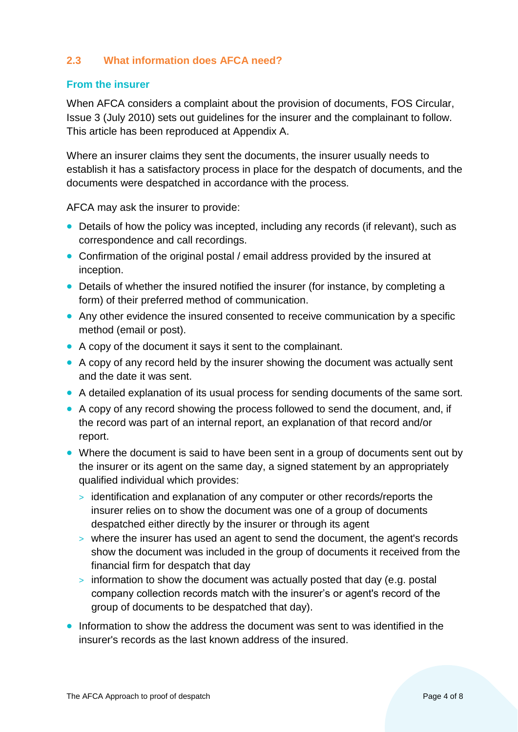#### <span id="page-3-0"></span>**2.3 What information does AFCA need?**

#### **From the insurer**

When AFCA considers a complaint about the provision of documents, FOS Circular, Issue 3 (July 2010) sets out guidelines for the insurer and the complainant to follow. This article has been reproduced at Appendix A.

Where an insurer claims they sent the documents, the insurer usually needs to establish it has a satisfactory process in place for the despatch of documents, and the documents were despatched in accordance with the process.

AFCA may ask the insurer to provide:

- Details of how the policy was incepted, including any records (if relevant), such as correspondence and call recordings.
- Confirmation of the original postal / email address provided by the insured at inception.
- Details of whether the insured notified the insurer (for instance, by completing a form) of their preferred method of communication.
- Any other evidence the insured consented to receive communication by a specific method (email or post).
- A copy of the document it says it sent to the complainant.
- A copy of any record held by the insurer showing the document was actually sent and the date it was sent.
- A detailed explanation of its usual process for sending documents of the same sort.
- A copy of any record showing the process followed to send the document, and, if the record was part of an internal report, an explanation of that record and/or report.
- Where the document is said to have been sent in a group of documents sent out by the insurer or its agent on the same day, a signed statement by an appropriately qualified individual which provides:
	- > identification and explanation of any computer or other records/reports the insurer relies on to show the document was one of a group of documents despatched either directly by the insurer or through its agent
	- > where the insurer has used an agent to send the document, the agent's records show the document was included in the group of documents it received from the financial firm for despatch that day
	- > information to show the document was actually posted that day (e.g. postal company collection records match with the insurer's or agent's record of the group of documents to be despatched that day).
- Information to show the address the document was sent to was identified in the insurer's records as the last known address of the insured.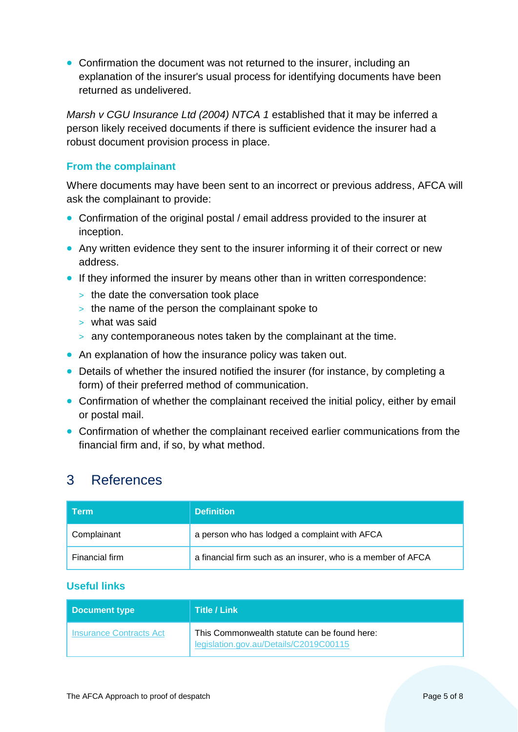• Confirmation the document was not returned to the insurer, including an explanation of the insurer's usual process for identifying documents have been returned as undelivered.

*Marsh v CGU Insurance Ltd (2004) NTCA 1* established that it may be inferred a person likely received documents if there is sufficient evidence the insurer had a robust document provision process in place.

#### **From the complainant**

Where documents may have been sent to an incorrect or previous address, AFCA will ask the complainant to provide:

- Confirmation of the original postal / email address provided to the insurer at inception.
- Any written evidence they sent to the insurer informing it of their correct or new address.
- If they informed the insurer by means other than in written correspondence:
	- > the date the conversation took place
	- > the name of the person the complainant spoke to
	- > what was said
	- > any contemporaneous notes taken by the complainant at the time.
- An explanation of how the insurance policy was taken out.
- Details of whether the insured notified the insurer (for instance, by completing a form) of their preferred method of communication.
- Confirmation of whether the complainant received the initial policy, either by email or postal mail.
- Confirmation of whether the complainant received earlier communications from the financial firm and, if so, by what method.

# <span id="page-4-0"></span>3 References

| <b>Term</b>    | <b>Definition</b>                                            |
|----------------|--------------------------------------------------------------|
| Complainant    | a person who has lodged a complaint with AFCA                |
| Financial firm | a financial firm such as an insurer, who is a member of AFCA |

#### **Useful links**

| <b>Document type</b>           | <b>Title / Link</b>                                                                    |
|--------------------------------|----------------------------------------------------------------------------------------|
| <b>Insurance Contracts Act</b> | This Commonwealth statute can be found here:<br>legislation.gov.au/Details/C2019C00115 |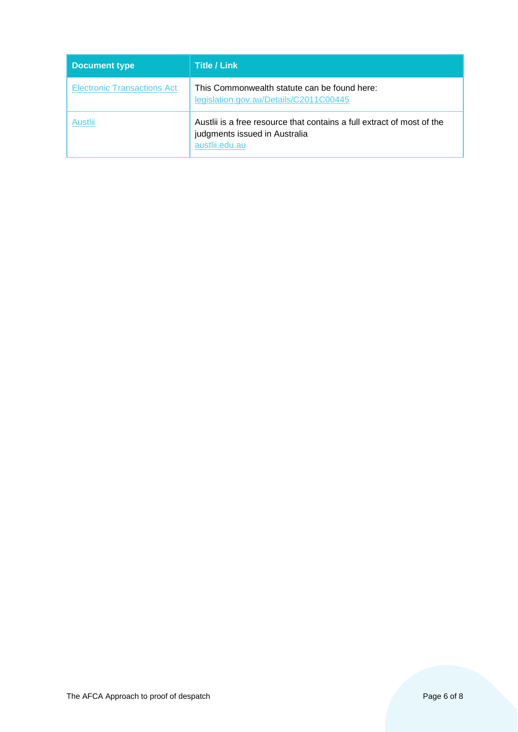| <b>Document type</b>               | <b>Title / Link</b>                                                                                                       |
|------------------------------------|---------------------------------------------------------------------------------------------------------------------------|
| <b>Electronic Transactions Act</b> | This Commonwealth statute can be found here:<br>legislation.gov.au/Details/C2011C00445                                    |
| Austlii                            | Austlii is a free resource that contains a full extract of most of the<br>judgments issued in Australia<br>austlii.edu.au |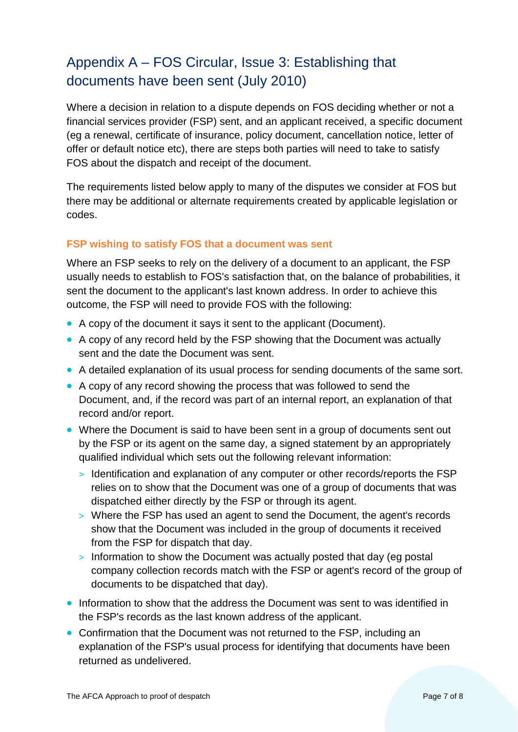# <span id="page-6-0"></span>Appendix A – FOS Circular, Issue 3: Establishing that documents have been sent (July 2010)

Where a decision in relation to a dispute depends on FOS deciding whether or not a financial services provider (FSP) sent, and an applicant received, a specific document (eg a renewal, certificate of insurance, policy document, cancellation notice, letter of offer or default notice etc), there are steps both parties will need to take to satisfy FOS about the dispatch and receipt of the document.

The requirements listed below apply to many of the disputes we consider at FOS but there may be additional or alternate requirements created by applicable legislation or codes.

### **FSP wishing to satisfy FOS that a document was sent**

Where an FSP seeks to rely on the delivery of a document to an applicant, the FSP usually needs to establish to FOS's satisfaction that, on the balance of probabilities, it sent the document to the applicant's last known address. In order to achieve this outcome, the FSP will need to provide FOS with the following:

- A copy of the document it says it sent to the applicant (Document).
- A copy of any record held by the FSP showing that the Document was actually sent and the date the Document was sent.
- A detailed explanation of its usual process for sending documents of the same sort.
- A copy of any record showing the process that was followed to send the Document, and, if the record was part of an internal report, an explanation of that record and/or report.
- Where the Document is said to have been sent in a group of documents sent out by the FSP or its agent on the same day, a signed statement by an appropriately qualified individual which sets out the following relevant information:
	- > Identification and explanation of any computer or other records/reports the FSP relies on to show that the Document was one of a group of documents that was dispatched either directly by the FSP or through its agent.
	- > Where the FSP has used an agent to send the Document, the agent's records show that the Document was included in the group of documents it received from the FSP for dispatch that day.
	- > Information to show the Document was actually posted that day (eg postal company collection records match with the FSP or agent's record of the group of documents to be dispatched that day).
- Information to show that the address the Document was sent to was identified in the FSP's records as the last known address of the applicant.
- Confirmation that the Document was not returned to the FSP, including an explanation of the FSP's usual process for identifying that documents have been returned as undelivered.